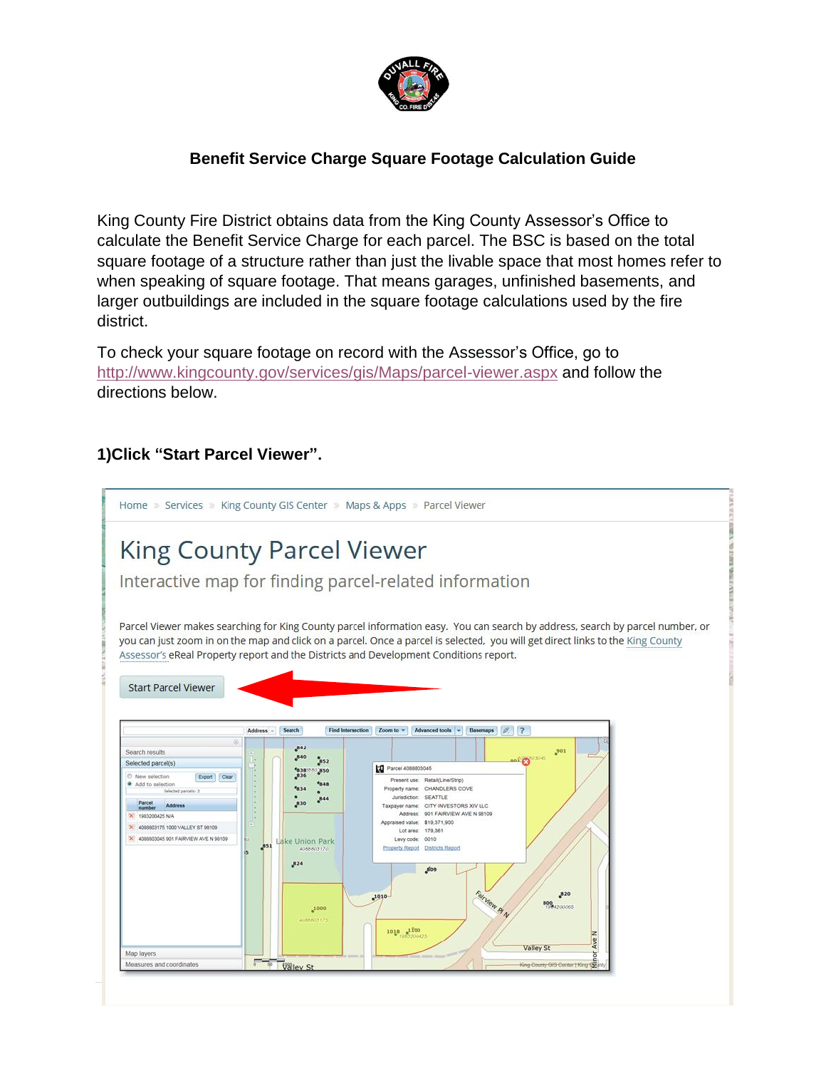

## **Benefit Service Charge Square Footage Calculation Guide**

King County Fire District obtains data from the King County Assessor's Office to calculate the Benefit Service Charge for each parcel. The BSC is based on the total square footage of a structure rather than just the livable space that most homes refer to when speaking of square footage. That means garages, unfinished basements, and larger outbuildings are included in the square footage calculations used by the fire district.

To check your square footage on record with the Assessor's Office, go to <http://www.kingcounty.gov/services/gis/Maps/parcel-viewer.aspx> and follow the directions below.

### **1)Click "Start Parcel Viewer".**

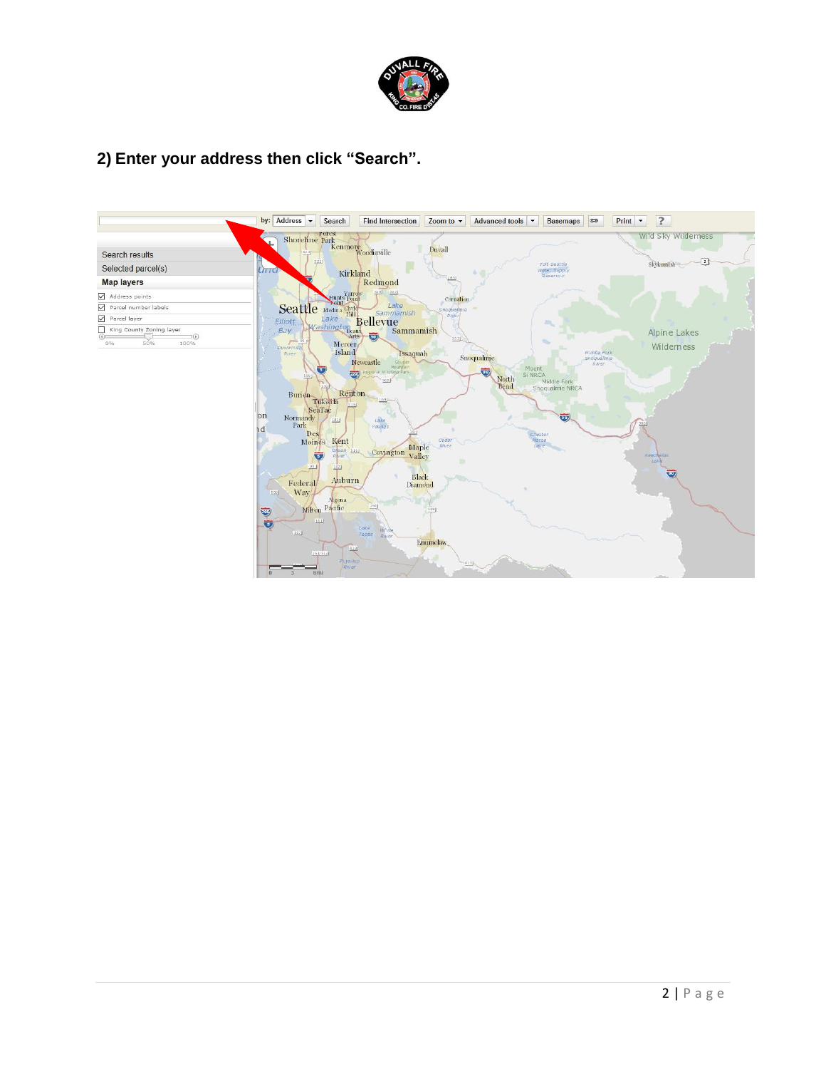

## **2) Enter your address then click "Search".**

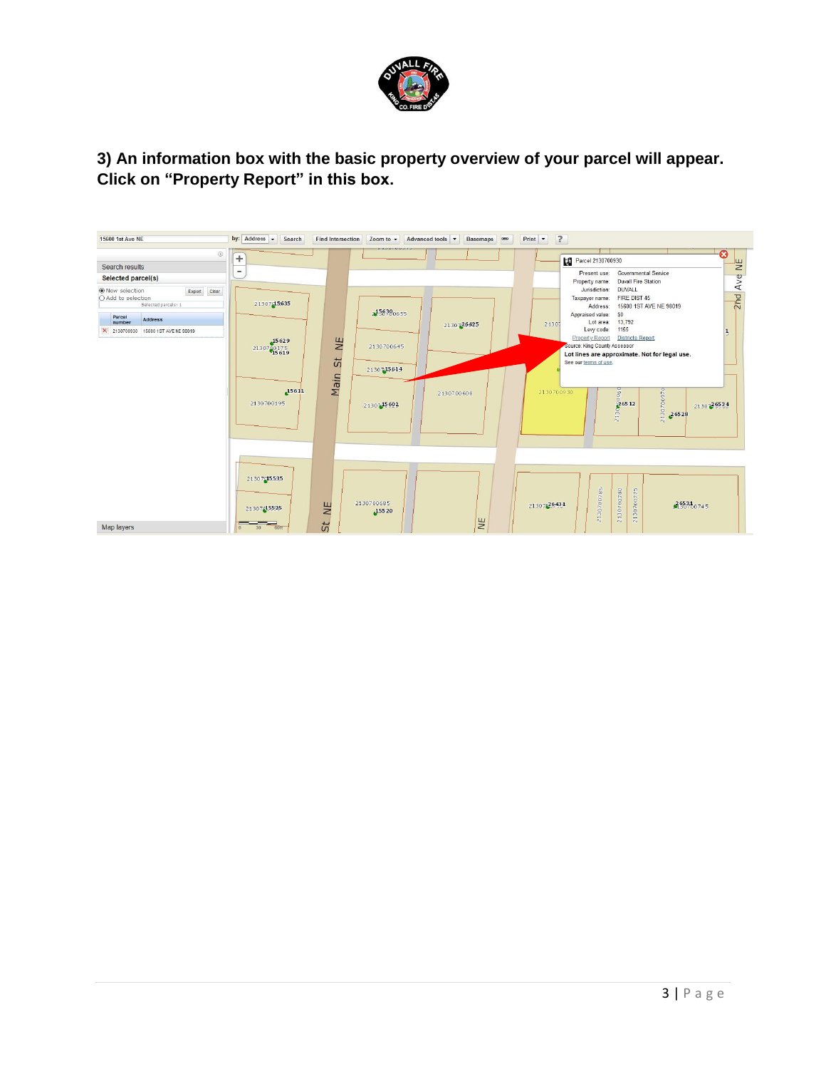

### **3) An information box with the basic property overview of your parcel will appear. Click on "Property Report" in this box.**

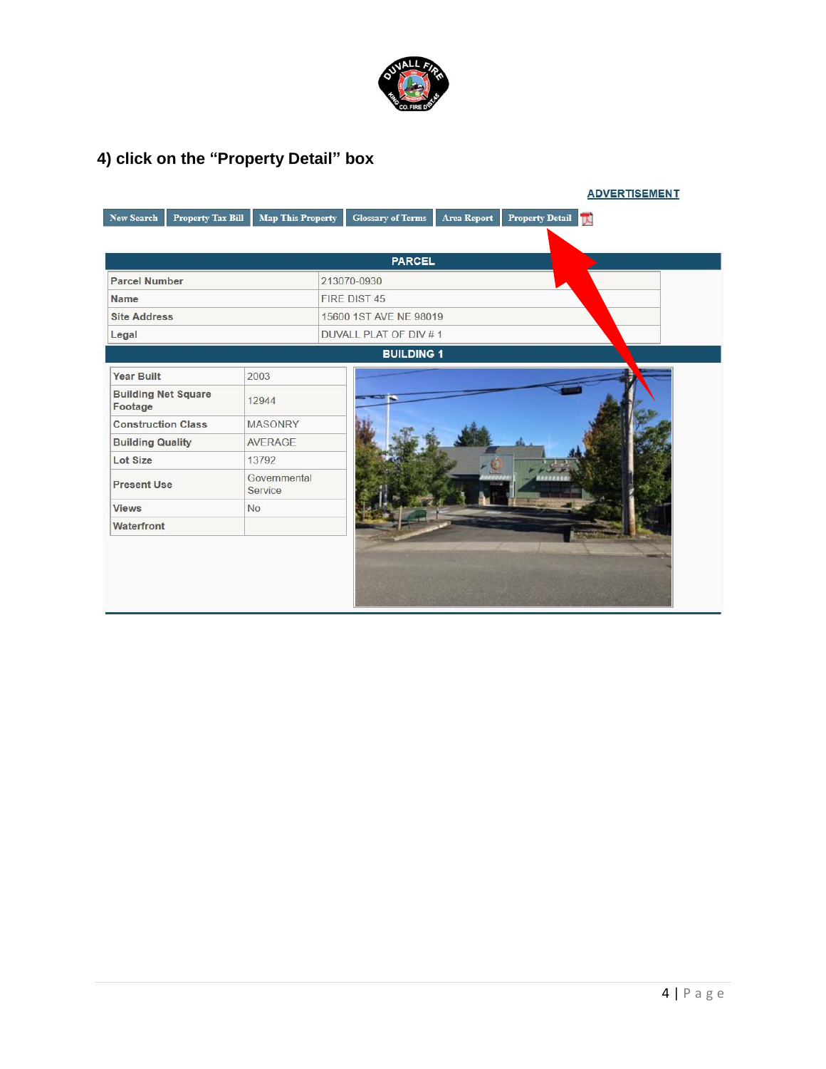

# **4) click on the "Property Detail" box**

|                                       |                         | <b>PARCEL</b>          |
|---------------------------------------|-------------------------|------------------------|
| <b>Parcel Number</b>                  |                         | 213070-0930            |
| <b>Name</b>                           |                         | FIRE DIST 45           |
| <b>Site Address</b>                   |                         | 15600 1ST AVE NE 98019 |
| Legal                                 |                         | DUVALL PLAT OF DIV #1  |
|                                       |                         | <b>BUILDING 1</b>      |
| <b>Year Built</b>                     | 2003                    |                        |
| <b>Building Net Square</b><br>Footage | 12944                   | - -                    |
| <b>Construction Class</b>             | <b>MASONRY</b>          |                        |
| <b>Building Quality</b>               | <b>AVERAGE</b>          |                        |
| Lot Size                              | 13792                   |                        |
| <b>Present Use</b>                    | Governmental<br>Service |                        |
| <b>Views</b>                          | <b>No</b>               |                        |
| Waterfront                            |                         |                        |